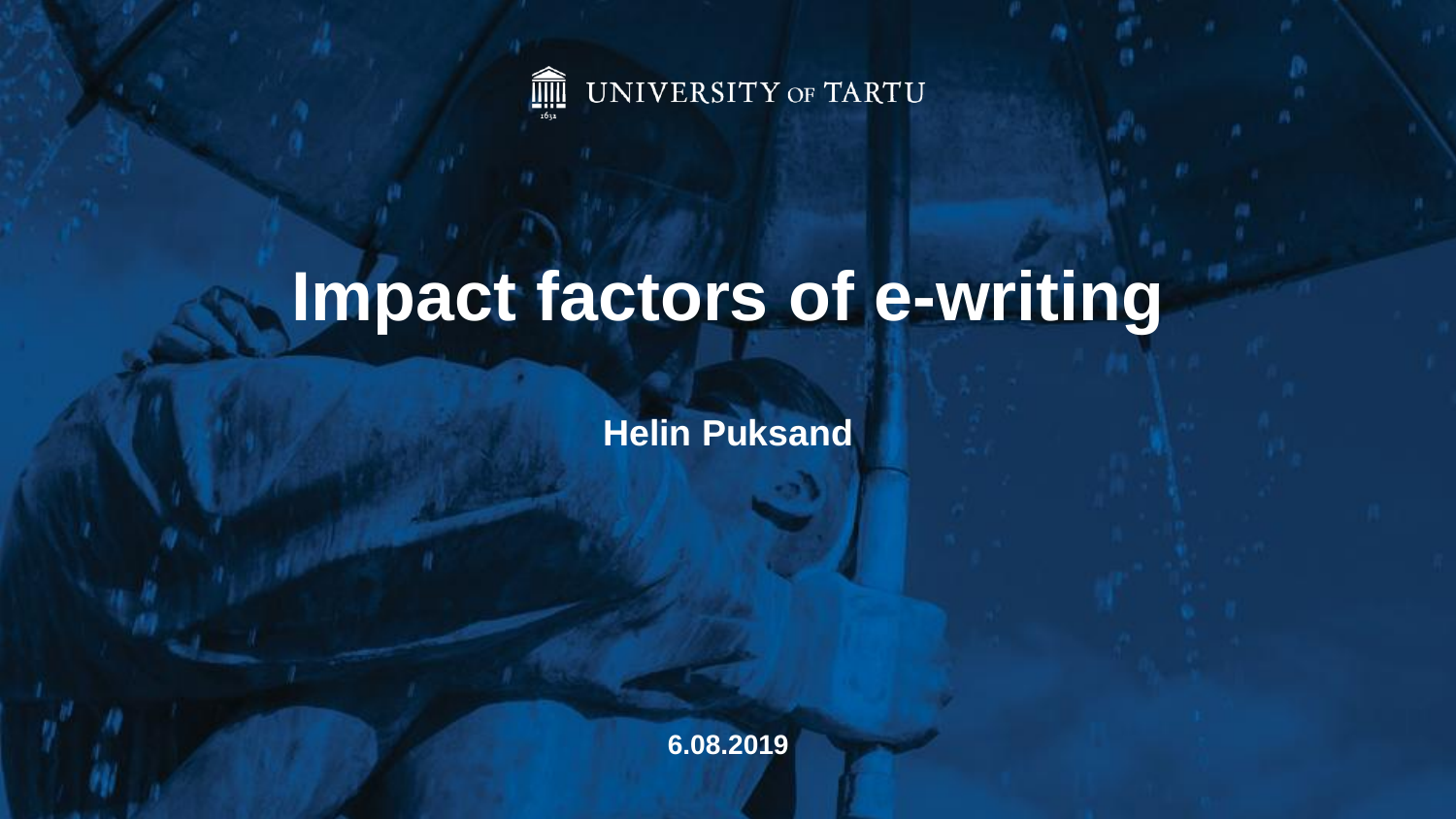

# **Impact factors of e-writing**

**Helin Puksand**

**6.08.2019**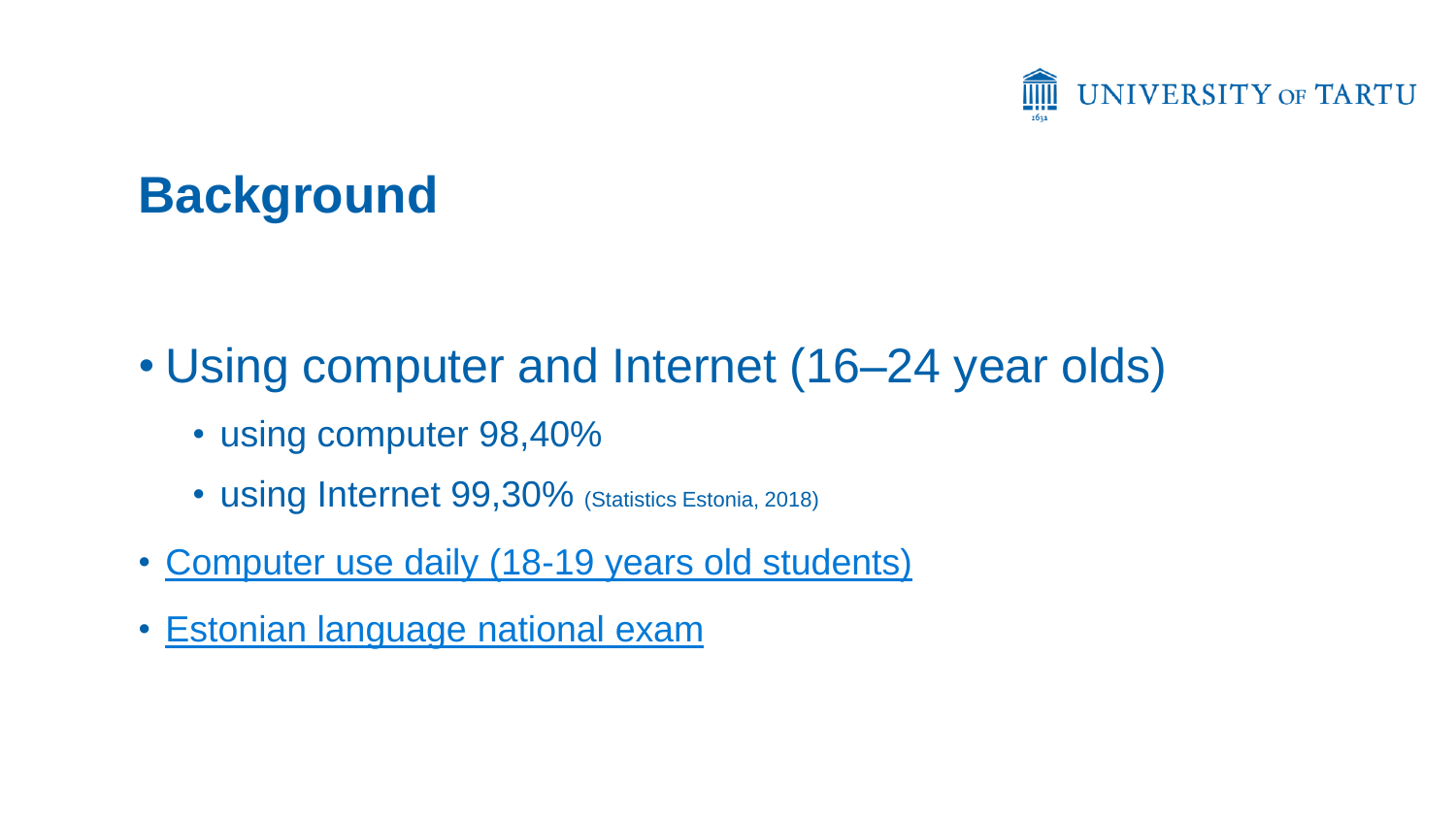

# **Background**

- Using computer and Internet (16–24 year olds)
	- using computer 98,40%
	- using Internet 99,30% (Statistics Estonia, 2018)
- Computer use daily (18-19 years old students)
- [Estonian language](http://haridusinfo.innove.ee/UserFiles/Riigieksamid/2016/Eesti keel/eesti keele RE 2016.pdf) [national](http://haridusinfo.innove.ee/UserFiles/Riigieksamid/2016/Eesti keel/eesti keele RE 2016.pdf) [exam](http://haridusinfo.innove.ee/UserFiles/Riigieksamid/2016/Eesti keel/eesti keele RE 2016.pdf)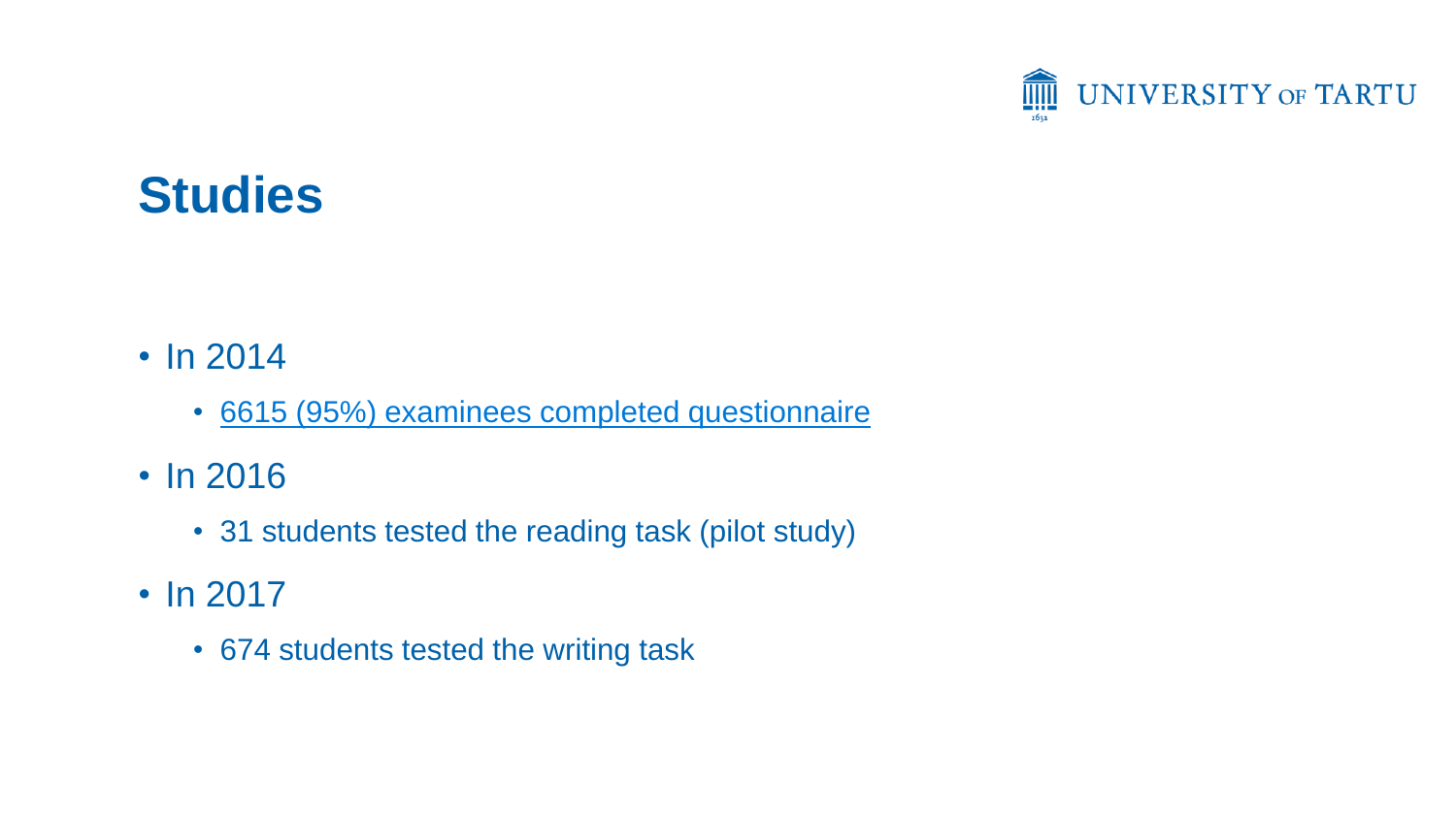

### **Studies**

- In 2014
	- 6615 (95%) examinees completed questionnaire
- In 2016
	- 31 students tested the reading task (pilot study)
- In 2017
	- 674 students tested the writing task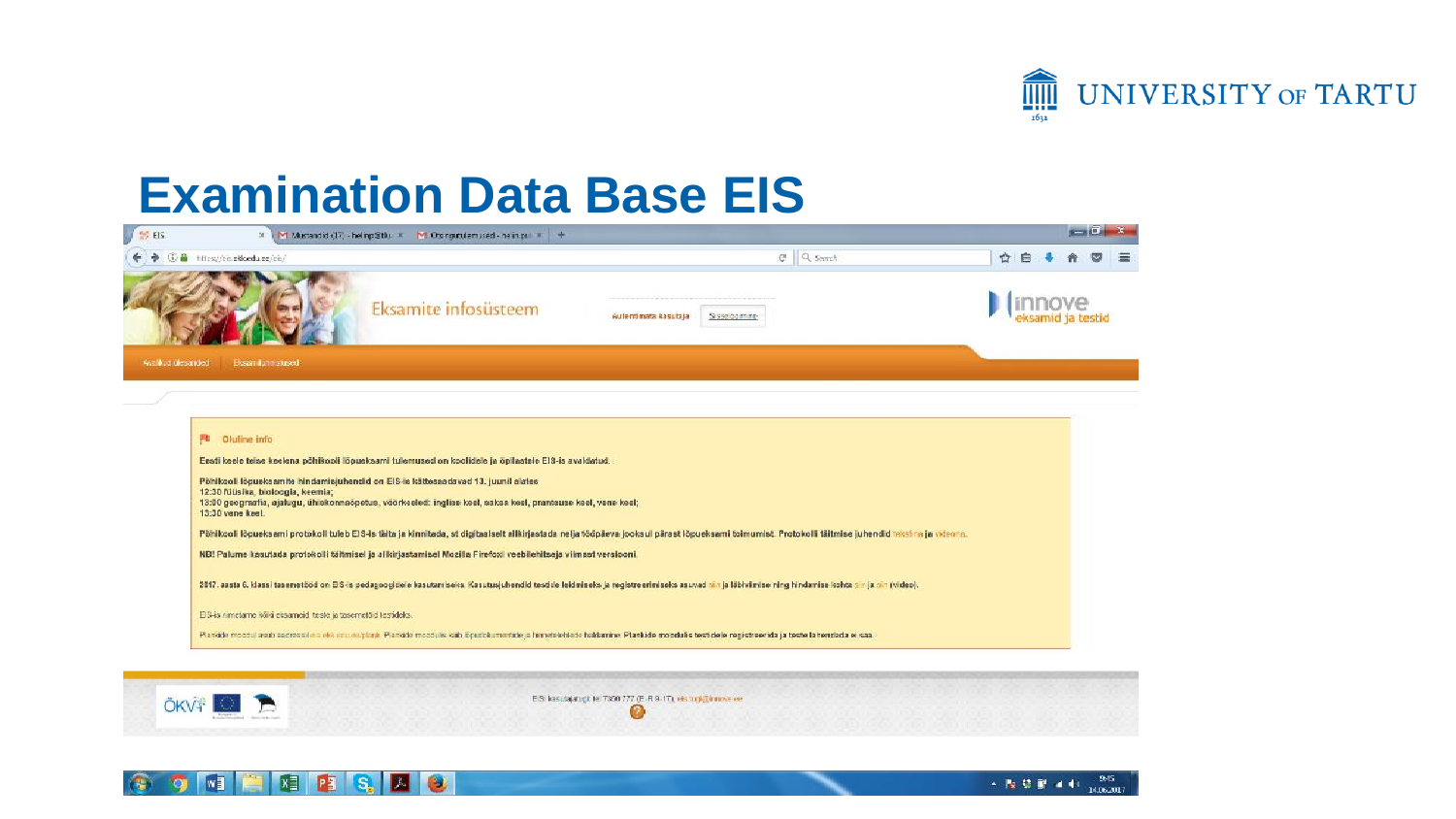

#### **Examination Data Base EIS**

|                    | M Mustandid (17) - heling@thu X M Orsinginuterused - helingul X +<br>$\times$                                                                                         |                                                                                                                                                                                                    | $-1$   |
|--------------------|-----------------------------------------------------------------------------------------------------------------------------------------------------------------------|----------------------------------------------------------------------------------------------------------------------------------------------------------------------------------------------------|--------|
| 6 音                | https://eis.ekk.edu.ee/eis/                                                                                                                                           | $C$ Q sent                                                                                                                                                                                         | ☆<br>自 |
|                    | Eksamite infosüsteem                                                                                                                                                  | Sissebarnine<br>Autentinata kasutaja                                                                                                                                                               |        |
| Availlab ülesanded | Besan item stused                                                                                                                                                     |                                                                                                                                                                                                    |        |
|                    |                                                                                                                                                                       |                                                                                                                                                                                                    |        |
|                    |                                                                                                                                                                       |                                                                                                                                                                                                    |        |
|                    |                                                                                                                                                                       |                                                                                                                                                                                                    |        |
|                    | <b>PL</b> Oluline info                                                                                                                                                |                                                                                                                                                                                                    |        |
|                    | Eesti keele teise keelena põhikooli lõpueksami tulemused on koolidele ja õpilastele EIS-is avaldatud.                                                                 |                                                                                                                                                                                                    |        |
|                    | Põhikooli lõpueksamite hindamisjuhendid on EIS-is kättesaadavad 13. juunil alates                                                                                     |                                                                                                                                                                                                    |        |
|                    | 12:30 füüsika, bioloogia, keemia;<br>13:00 geograafia, ajalugu, ühiskonnaõpetus, vöörkeeled: inglise keel, saksa keel, prantsuse keel, vene keel;<br>13:30 vene keel. |                                                                                                                                                                                                    |        |
|                    |                                                                                                                                                                       | Põhikooli lõpueksami protokoli tuleb EIS-is täita ja kinnitada, st digitaalselt alikirjastada nelja tööpäeva jooksul pärast lõpueksami toimumist. Protokolli täitmise juhendid reksina ja viteora. |        |
|                    | NB! Palume kasutada protokolli täitmisel ja alkirjastamisel Nozilla Firefoxi veebilehitseja viimast versiooni.                                                        |                                                                                                                                                                                                    |        |
|                    |                                                                                                                                                                       |                                                                                                                                                                                                    |        |
|                    |                                                                                                                                                                       | 2017, aasta 6, klassi tasenetööd on EIS-is pedagoogidele kasutamiseks. Kasutusjuhendid testide leidmiseks ja registreerimiseks asuvad sin ja läbiviimise ning hindamise kohta on ja sin (video).   |        |
|                    | EIS-is nimetame kõiki eksameid teste ja tasemetõid testideks.                                                                                                         |                                                                                                                                                                                                    |        |



ES lastajatigt te 7350 777 (E-R 9-17), eis tup@innvelee Ø



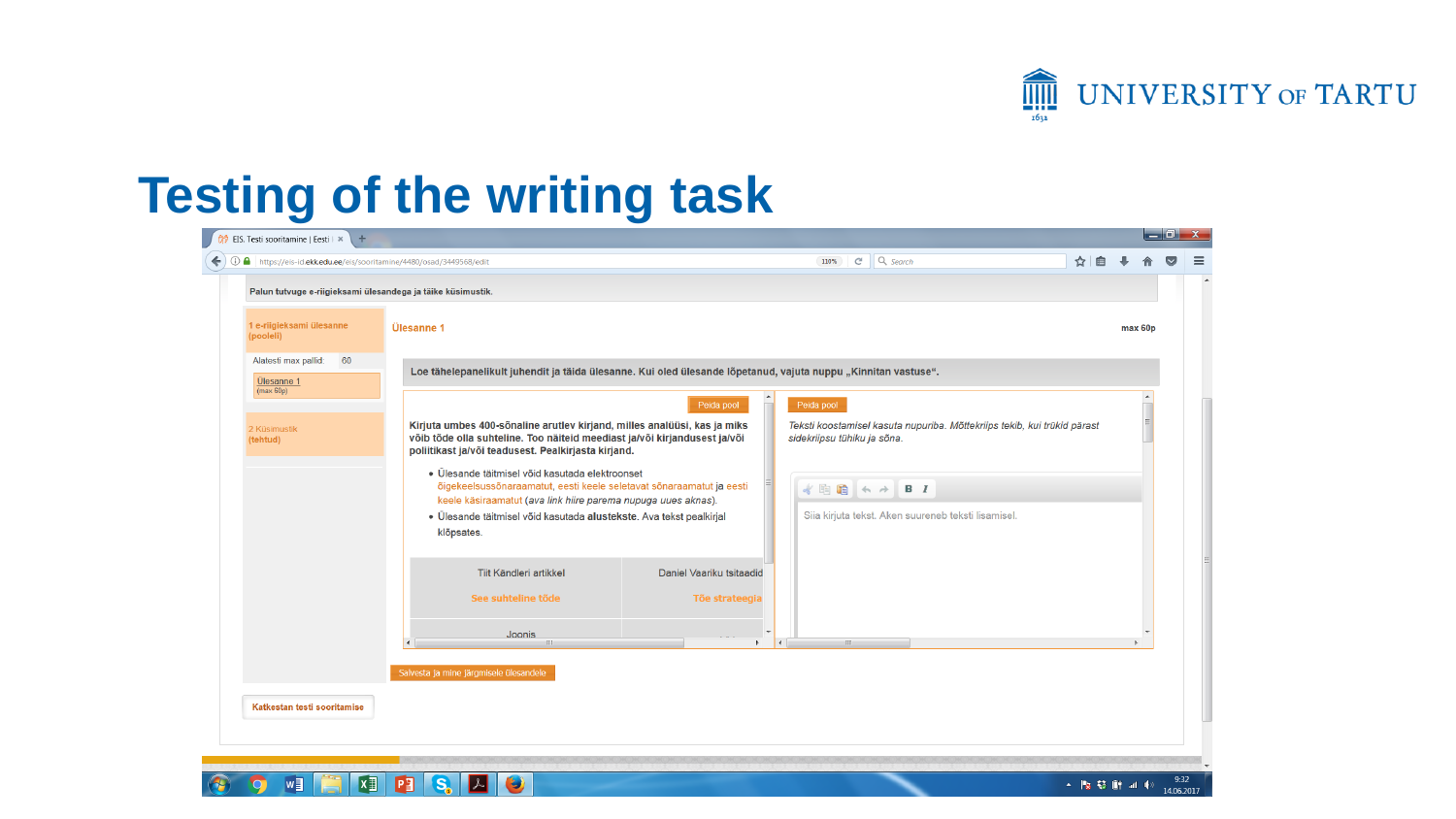

### **Testing of the writing task**

**XI PI S. A G** 

 $w_1$ 

| <b><i>ti</i></b> EIS. Testi sooritamine   Eesti   ×<br>÷              |                                                                                                                                                                                                                                                                               |                                            |                |                                                                                                         |  |     |         | $\Box$ of $\bm{x}$ |  |
|-----------------------------------------------------------------------|-------------------------------------------------------------------------------------------------------------------------------------------------------------------------------------------------------------------------------------------------------------------------------|--------------------------------------------|----------------|---------------------------------------------------------------------------------------------------------|--|-----|---------|--------------------|--|
| https://eis-id.ekk.edu.ee/eis/sooritamine/4480/osad/3449568/edit<br>€ |                                                                                                                                                                                                                                                                               |                                            |                | $Q$ , Search<br>$\mathsf{C}^{\mathsf{c}}$<br>110%                                                       |  | ☆│自 |         |                    |  |
| Palun tutvuge e-riigieksami ülesandega ja täike küsimustik.           |                                                                                                                                                                                                                                                                               |                                            |                |                                                                                                         |  |     |         |                    |  |
| 1 e-riigieksami ülesanne<br>(pooleli)                                 | Ülesanne 1                                                                                                                                                                                                                                                                    |                                            |                |                                                                                                         |  |     | max 60p |                    |  |
| Alatesti max pallid:<br>60<br>Ülesanne 1<br>(max 60p)                 | Loe tähelepanelikult juhendit ja täida ülesanne. Kui oled ülesande lõpetanud, vajuta nuppu "Kinnitan vastuse".                                                                                                                                                                |                                            |                |                                                                                                         |  |     |         |                    |  |
|                                                                       |                                                                                                                                                                                                                                                                               | Peida pool                                 |                | Peida pool                                                                                              |  |     |         |                    |  |
| 2 Küsimustik<br>(tehtud)                                              | Kirjuta umbes 400-sõnaline arutlev kirjand, milles analüüsi, kas ja miks<br>võib tõde olla suhteline. Too näiteid meediast ja/või kirjandusest ja/või<br>poliitikast ja/või teadusest. Pealkirjasta kirjand.                                                                  |                                            |                | Teksti koostamisel kasuta nupuriba. Mõttekriips tekib, kui trükid pärast<br>sidekriipsu tühiku ja sõna. |  |     |         |                    |  |
|                                                                       | · Ülesande täitmisel võid kasutada elektroonset<br>õigekeelsussõnaraamatut, eesti keele seletavat sõnaraamatut ja eesti<br>keele käsiraamatut (ava link hiire parema nupuga uues aknas).<br>· Ülesande täitmisel võid kasutada alustekste. Ava tekst pealkirjal<br>klõpsates. |                                            |                | 水电脑<br>$B$ $I$<br>$\rightarrow$ $\rightarrow$<br>Siia kirjuta tekst. Aken suureneb teksti lisamisel.    |  |     |         |                    |  |
|                                                                       | Tiit Kändleri artikkel<br>See suhteline tõde                                                                                                                                                                                                                                  | Daniel Vaariku tsitaadid<br>Tõe strateegia |                |                                                                                                         |  |     |         |                    |  |
|                                                                       | Joonis<br><b>HL</b>                                                                                                                                                                                                                                                           | b.                                         | $\overline{A}$ | $\mathbb{H}$                                                                                            |  |     |         |                    |  |
|                                                                       | Salvesta ja mine järgmisele ülesandele                                                                                                                                                                                                                                        |                                            |                |                                                                                                         |  |     |         |                    |  |
| Katkestan testi sooritamise                                           |                                                                                                                                                                                                                                                                               |                                            |                |                                                                                                         |  |     |         |                    |  |
|                                                                       |                                                                                                                                                                                                                                                                               |                                            |                |                                                                                                         |  |     |         |                    |  |

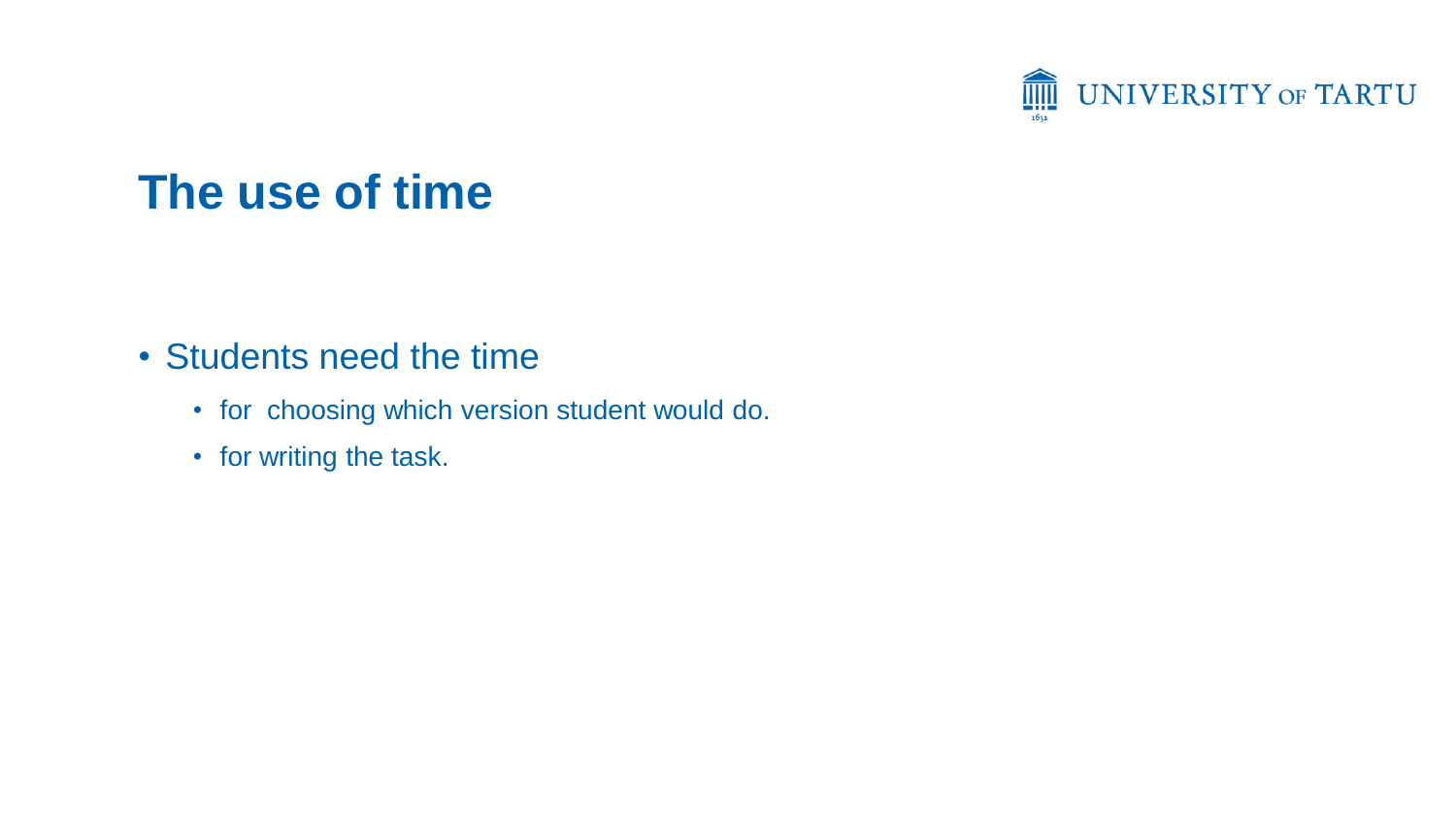

#### **The use of time**

- Students need the time
	- for choosing which version student would do.
	- for writing the task.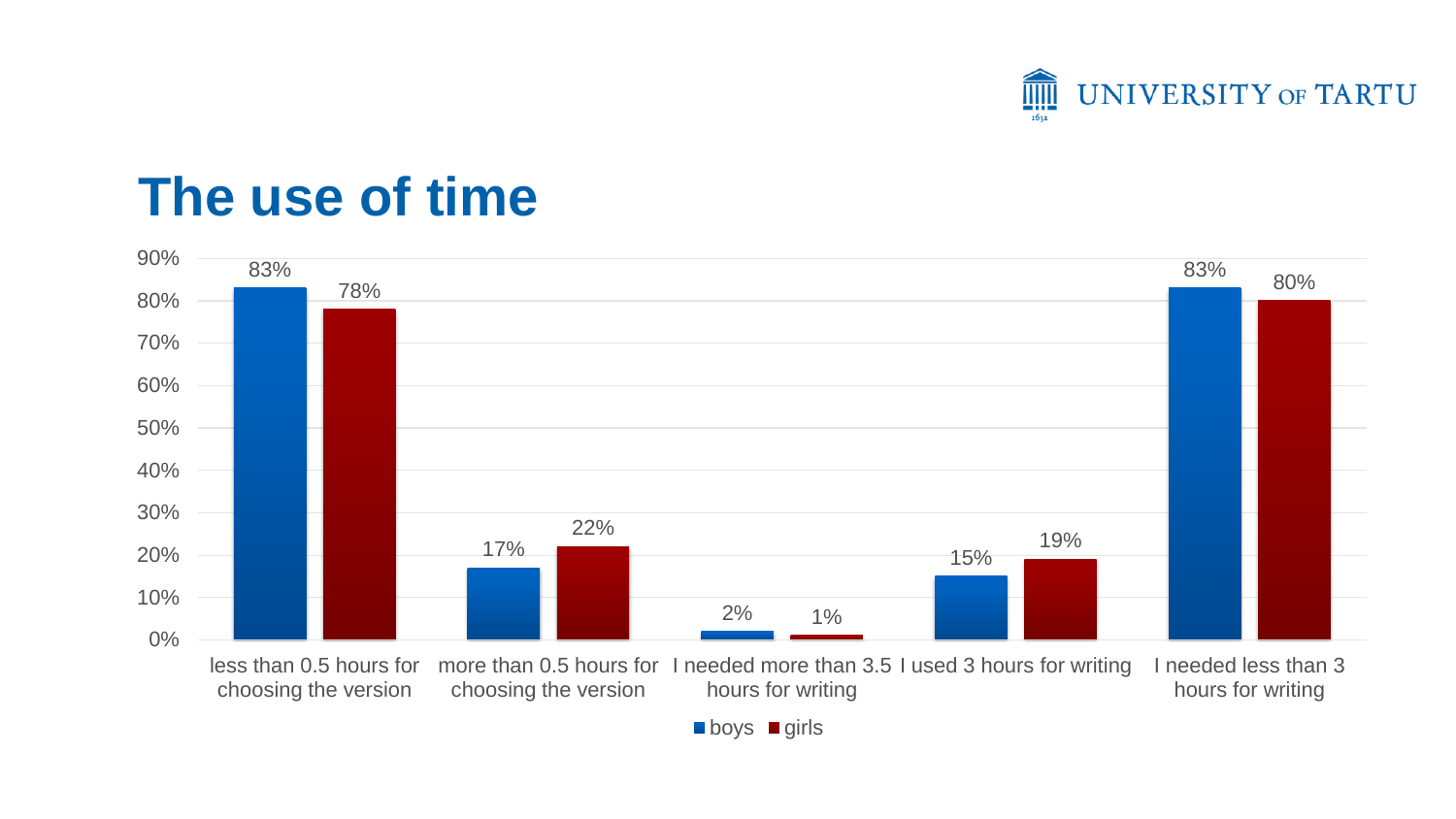

## **The use of time**



**boys** girls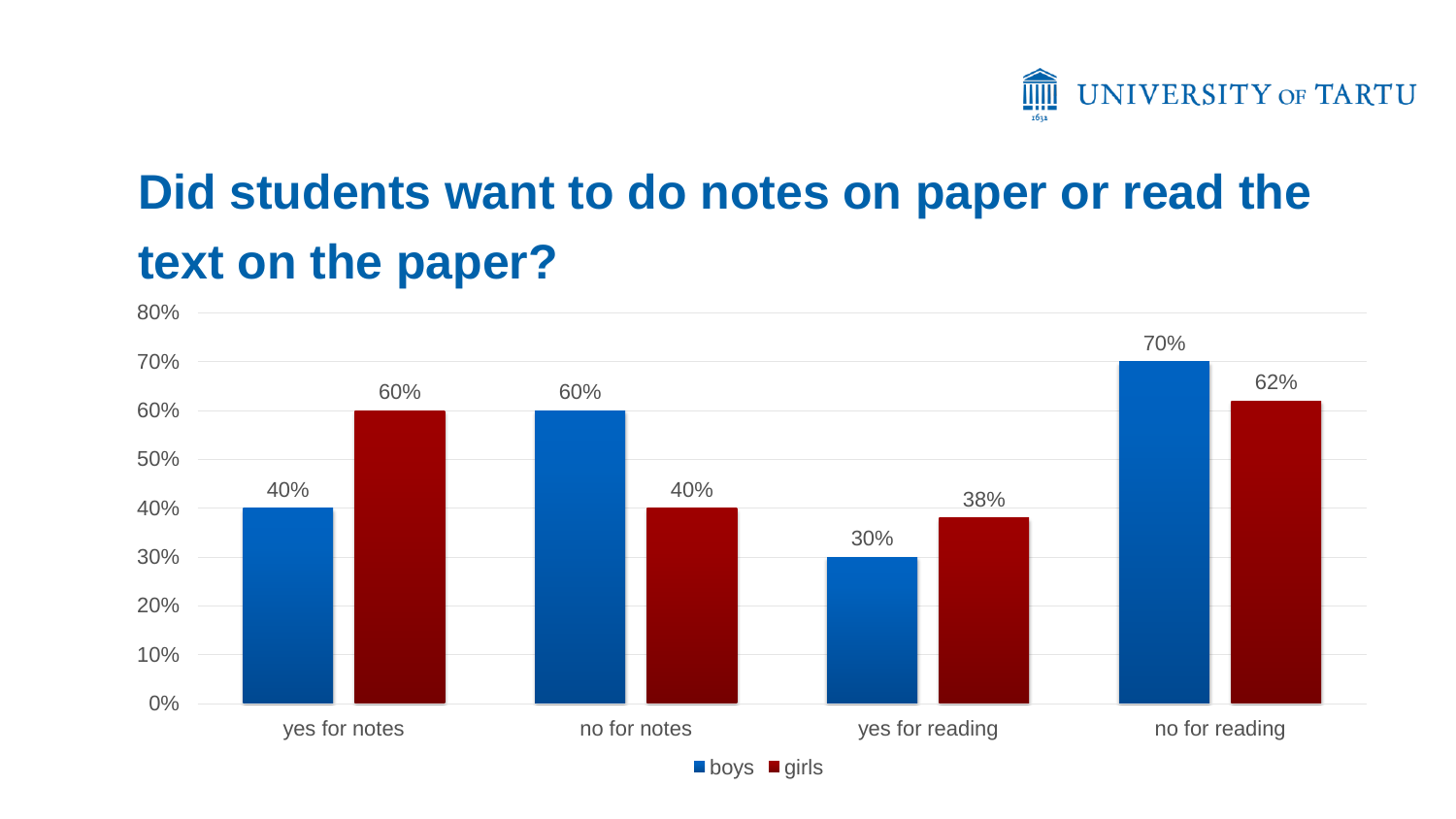

# **Did students want to do notes on paper or read the text on the paper?**



 $\blacksquare$ boys  $\blacksquare$  girls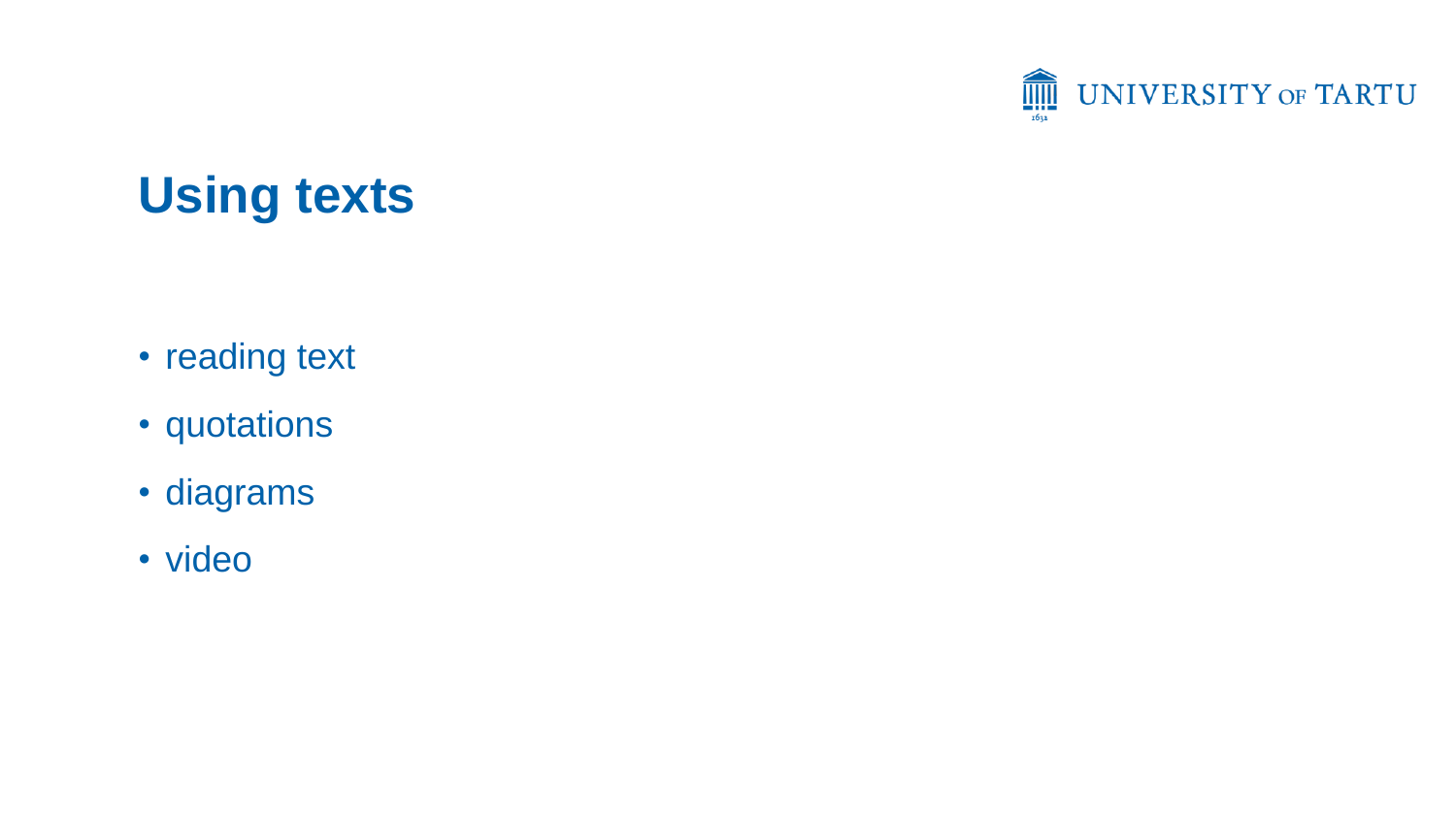

# **Using texts**

- reading text
- quotations
- diagrams
- video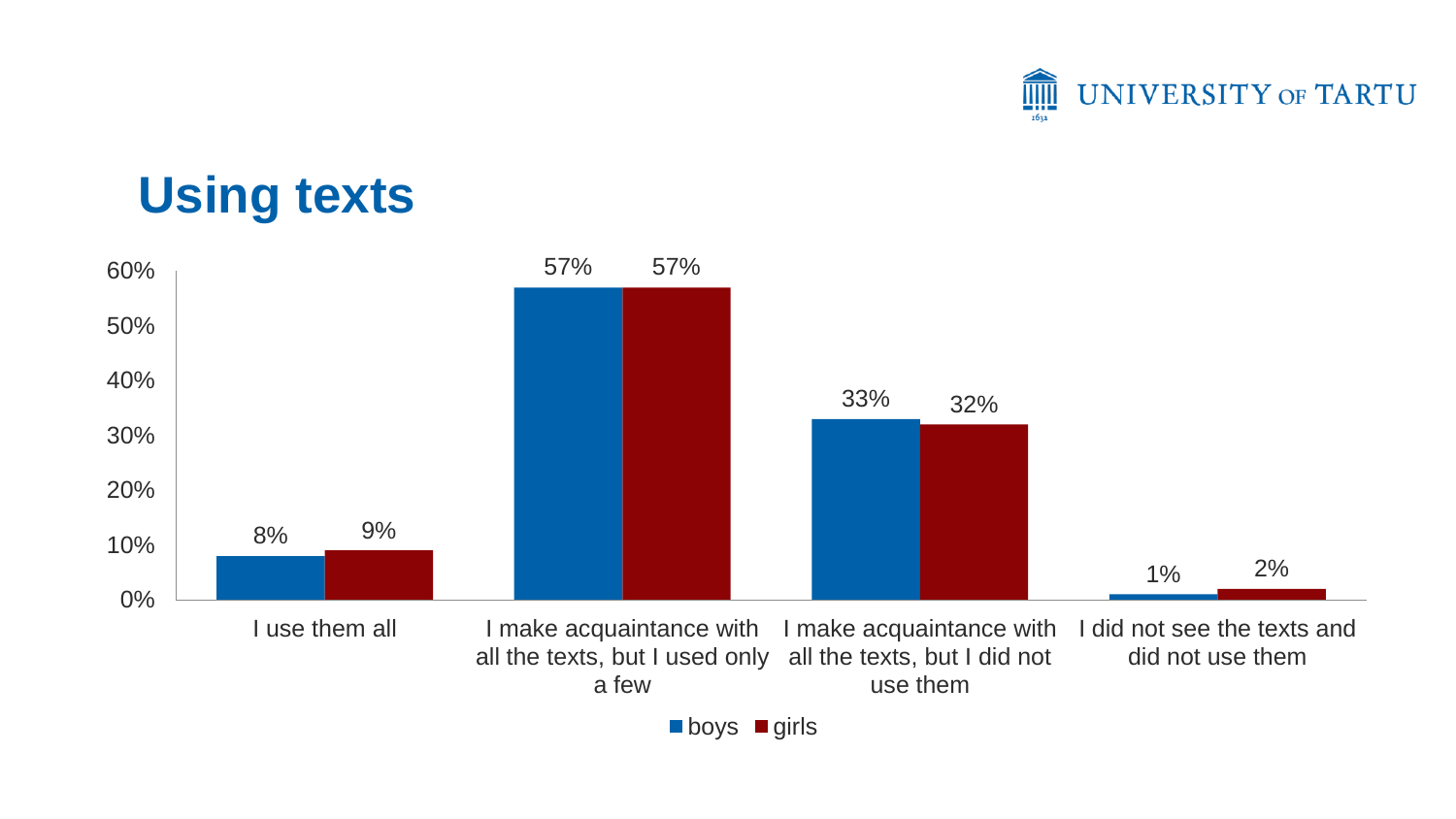

### **Using texts**



■ boys ■ girls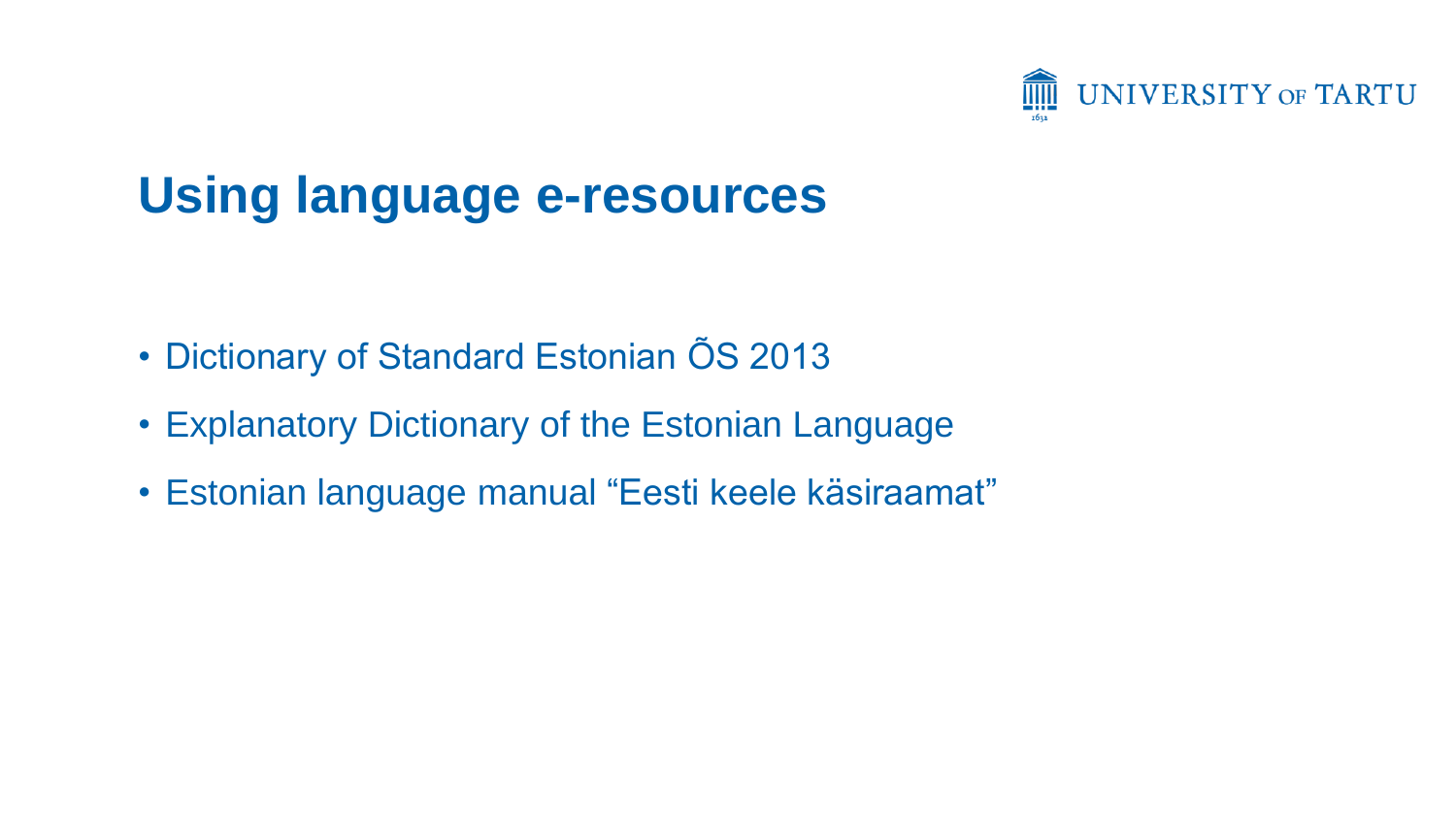

# **Using language e-resources**

- Dictionary of Standard Estonian ÕS 2013
- Explanatory Dictionary of the Estonian Language
- Estonian language manual "Eesti keele käsiraamat"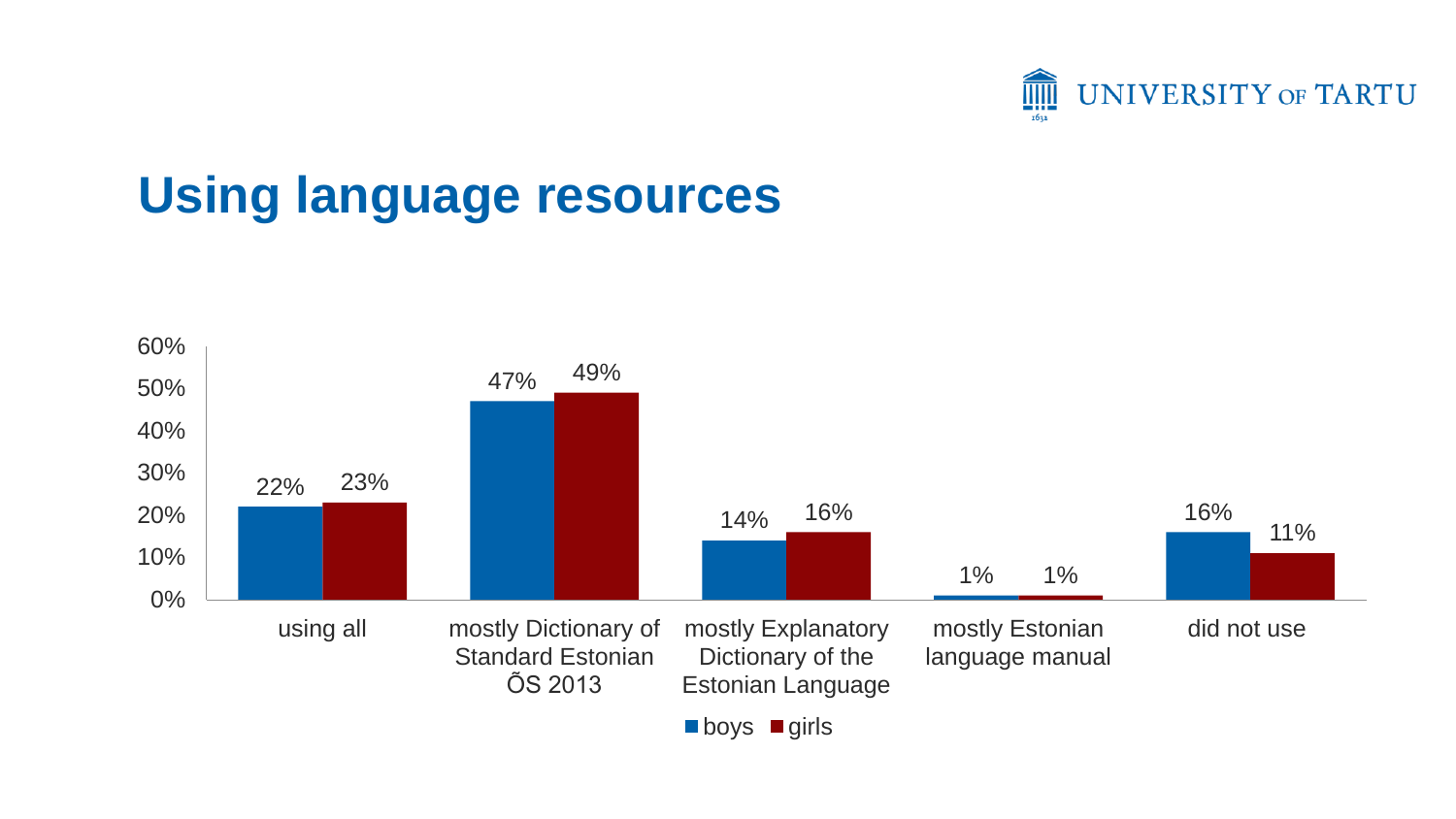

# **Using language resources**

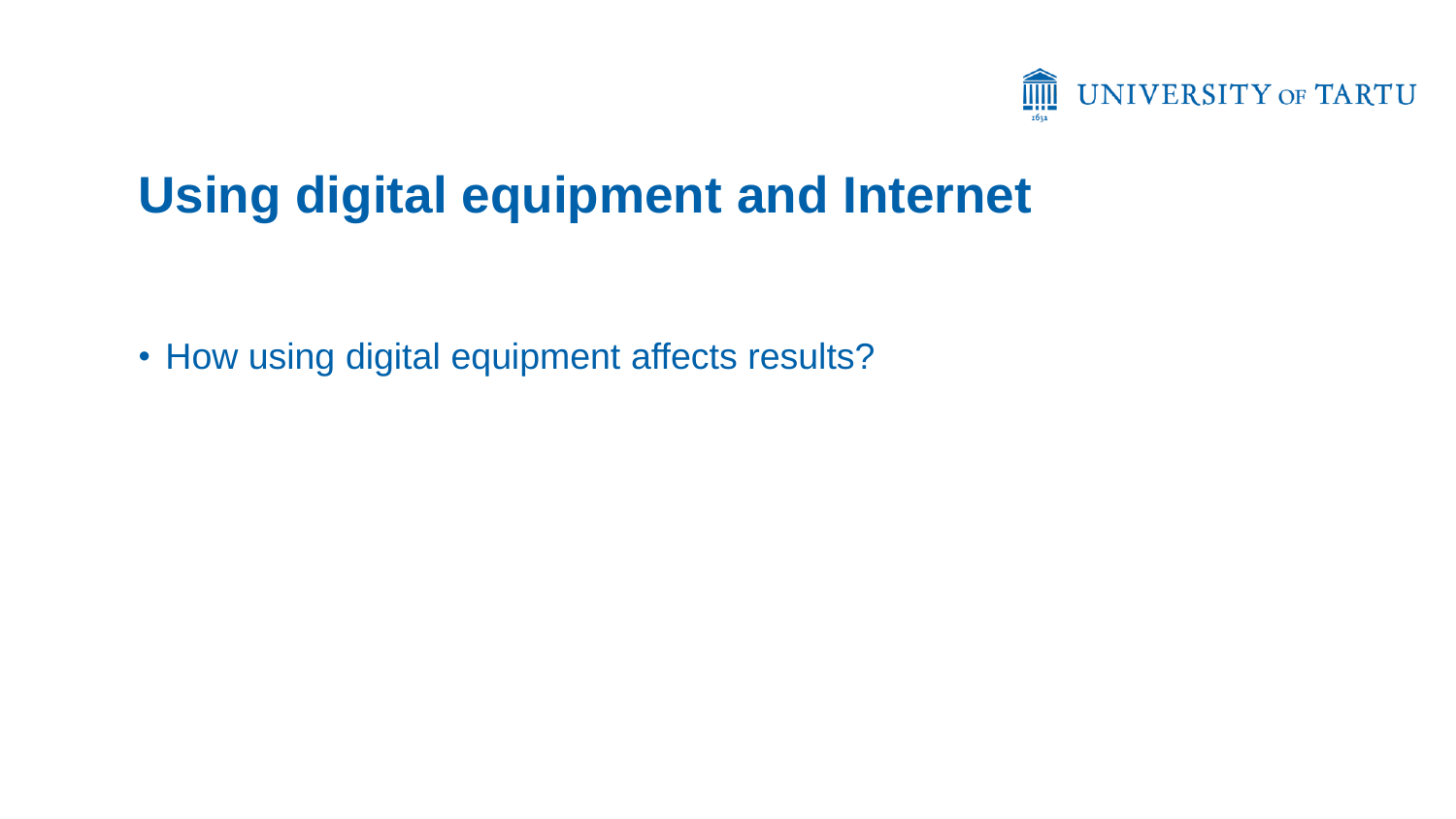

# **Using digital equipment and Internet**

• How using digital equipment affects results?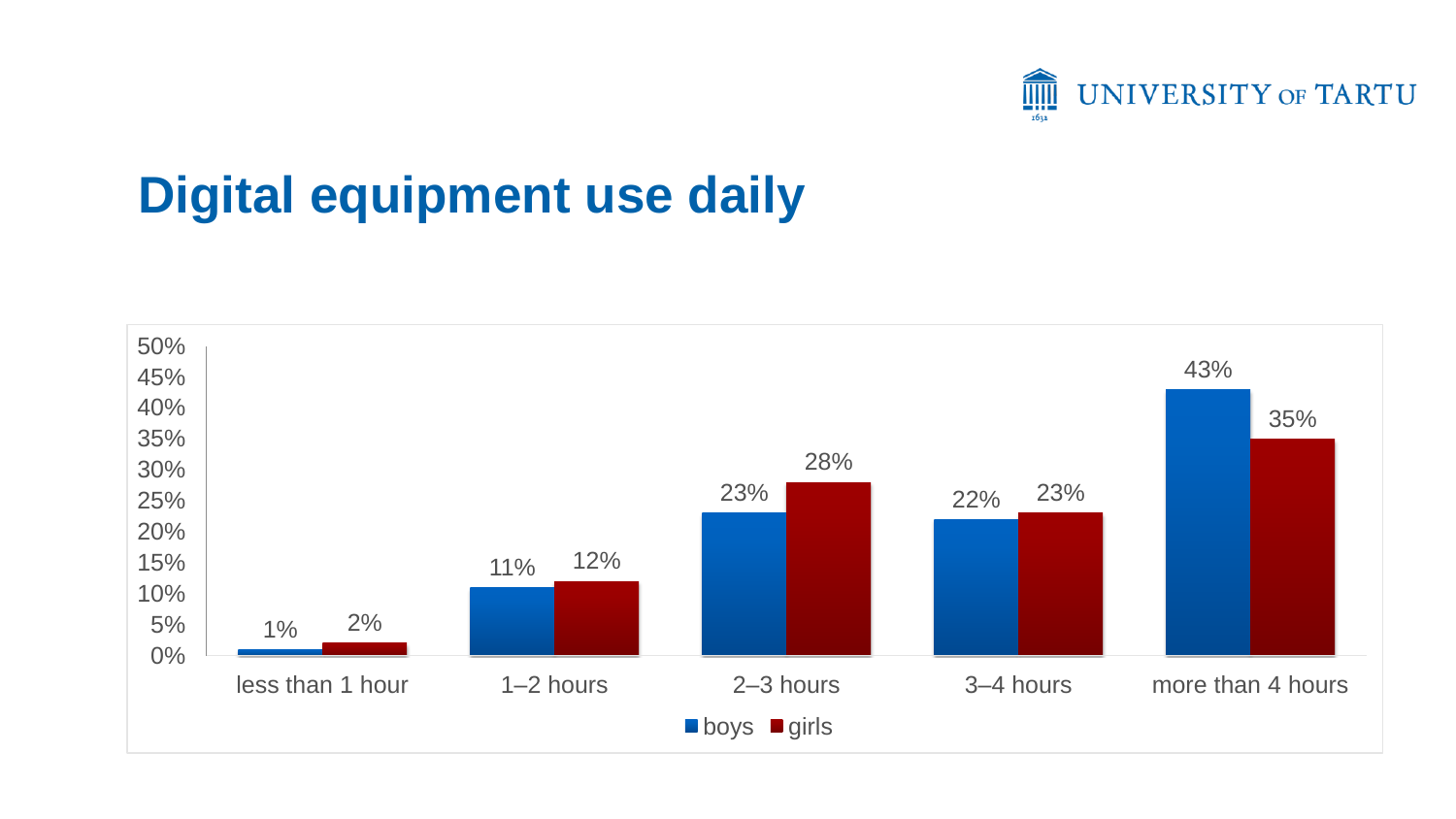

# **Digital equipment use daily**

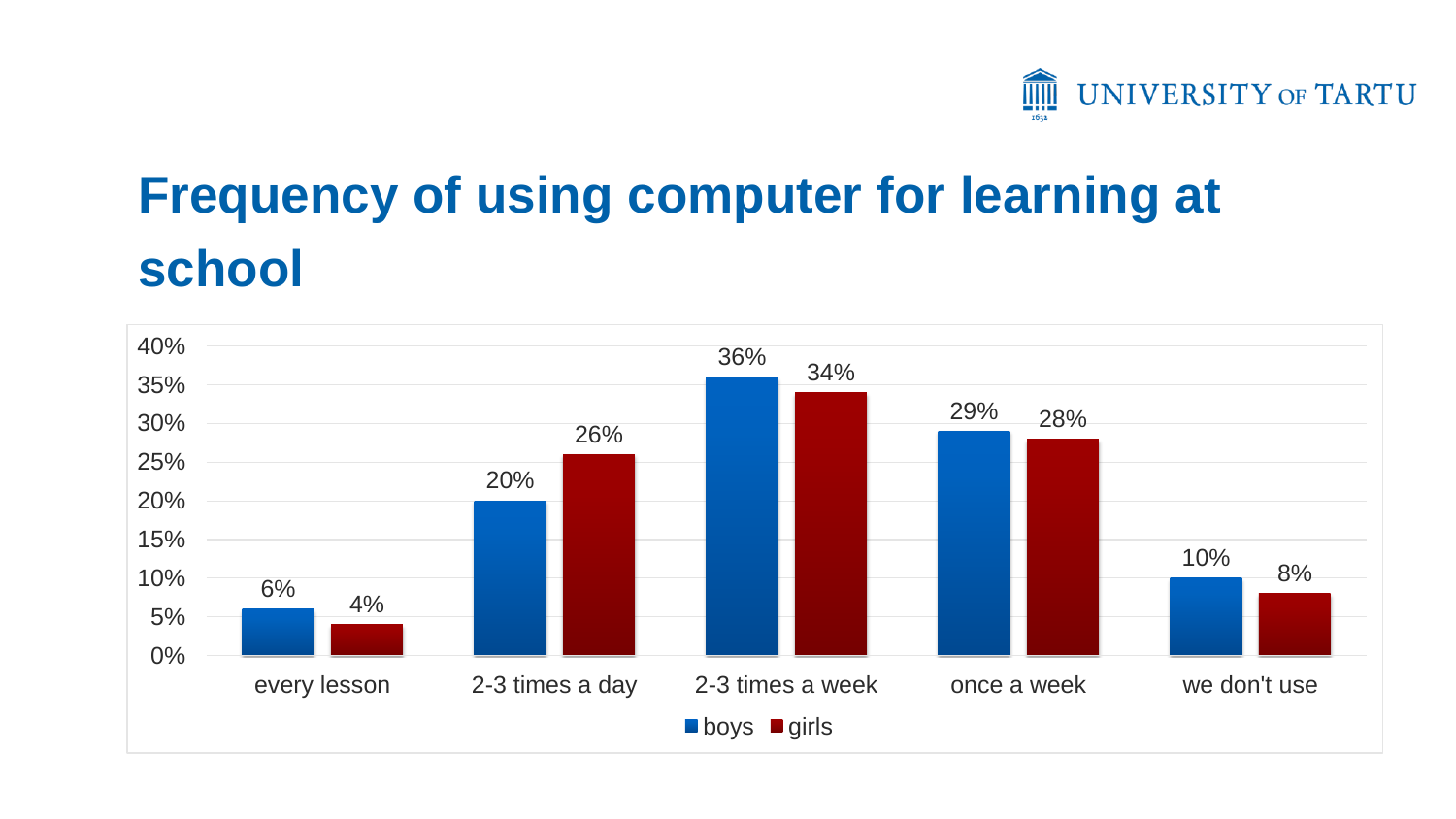

# **Frequency of using computer for learning at school**

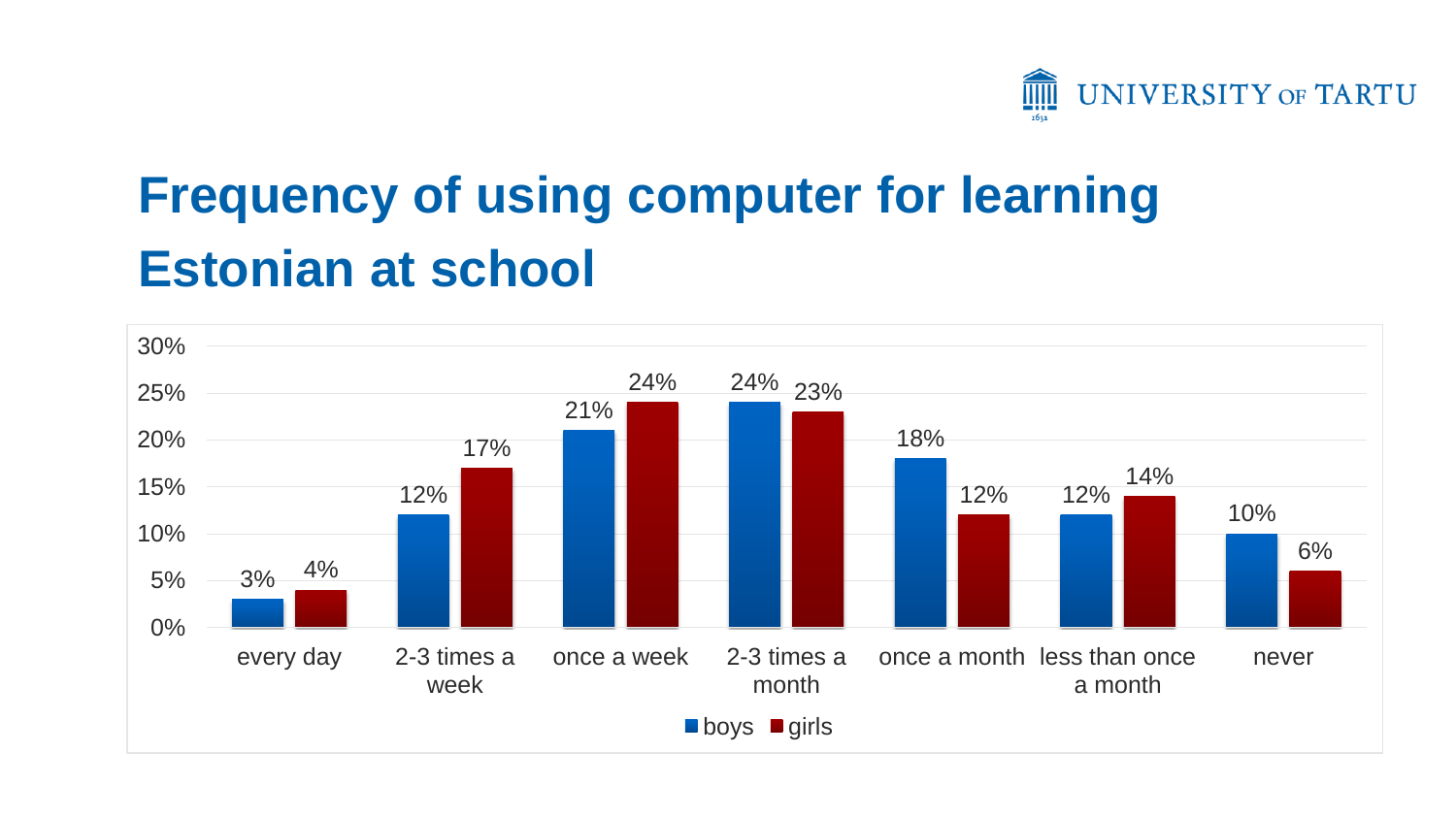

# **Frequency of using computer for learning Estonian at school**

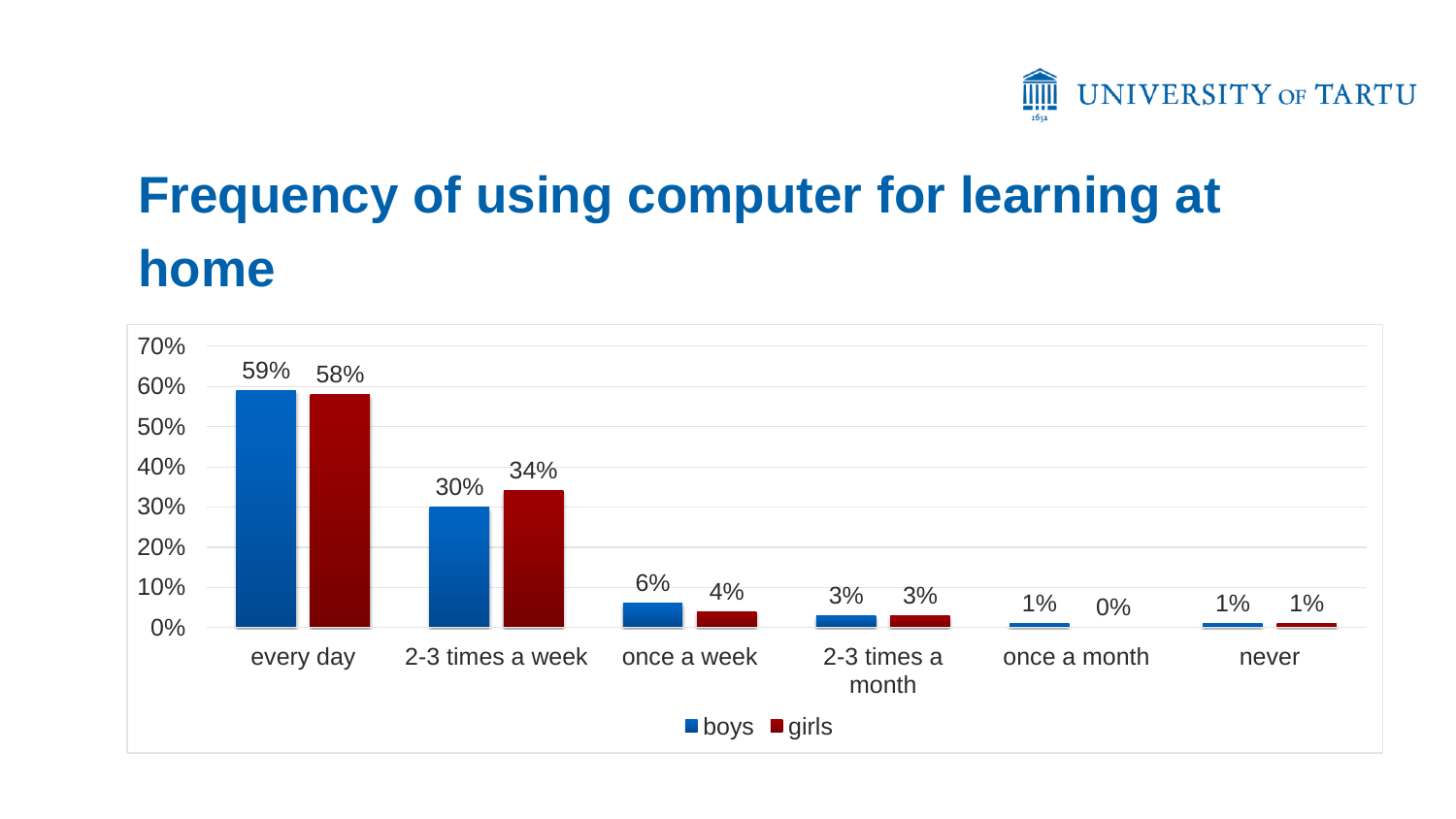

# **Frequency of using computer for learning at home**

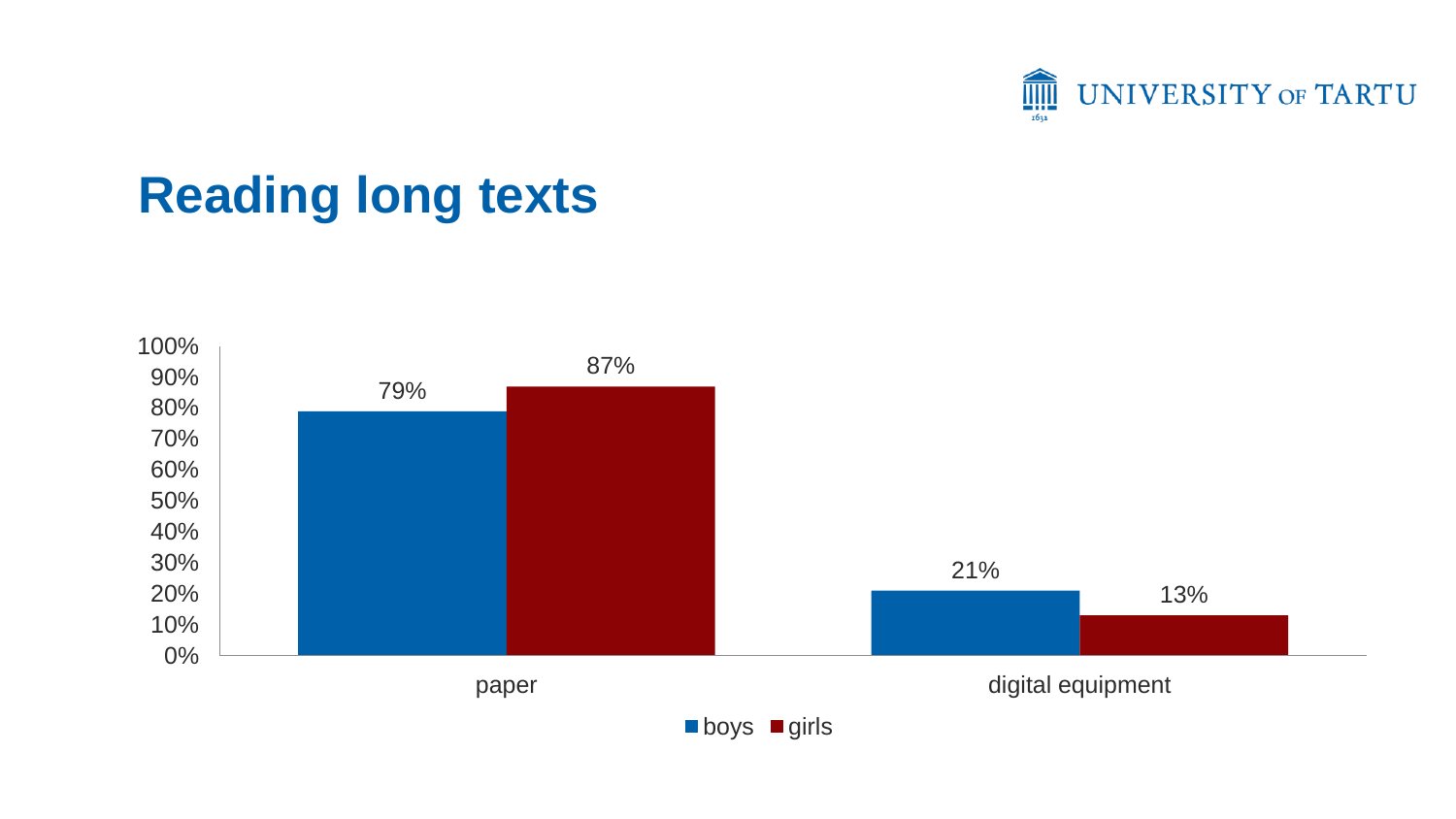

### **Reading long texts**

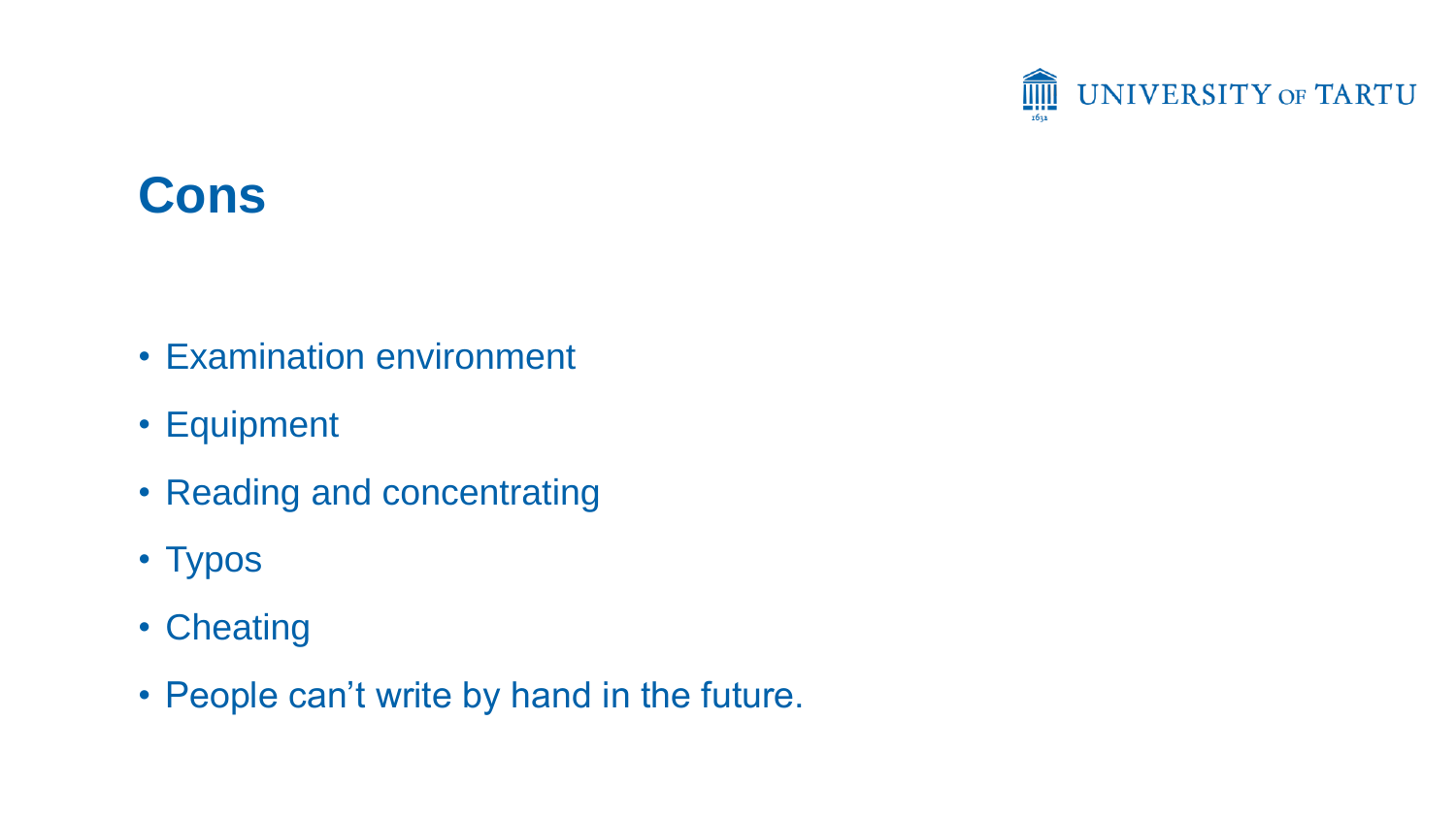

#### **Cons**

- Examination environment
- Equipment
- Reading and concentrating
- Typos
- Cheating
- People can't write by hand in the future.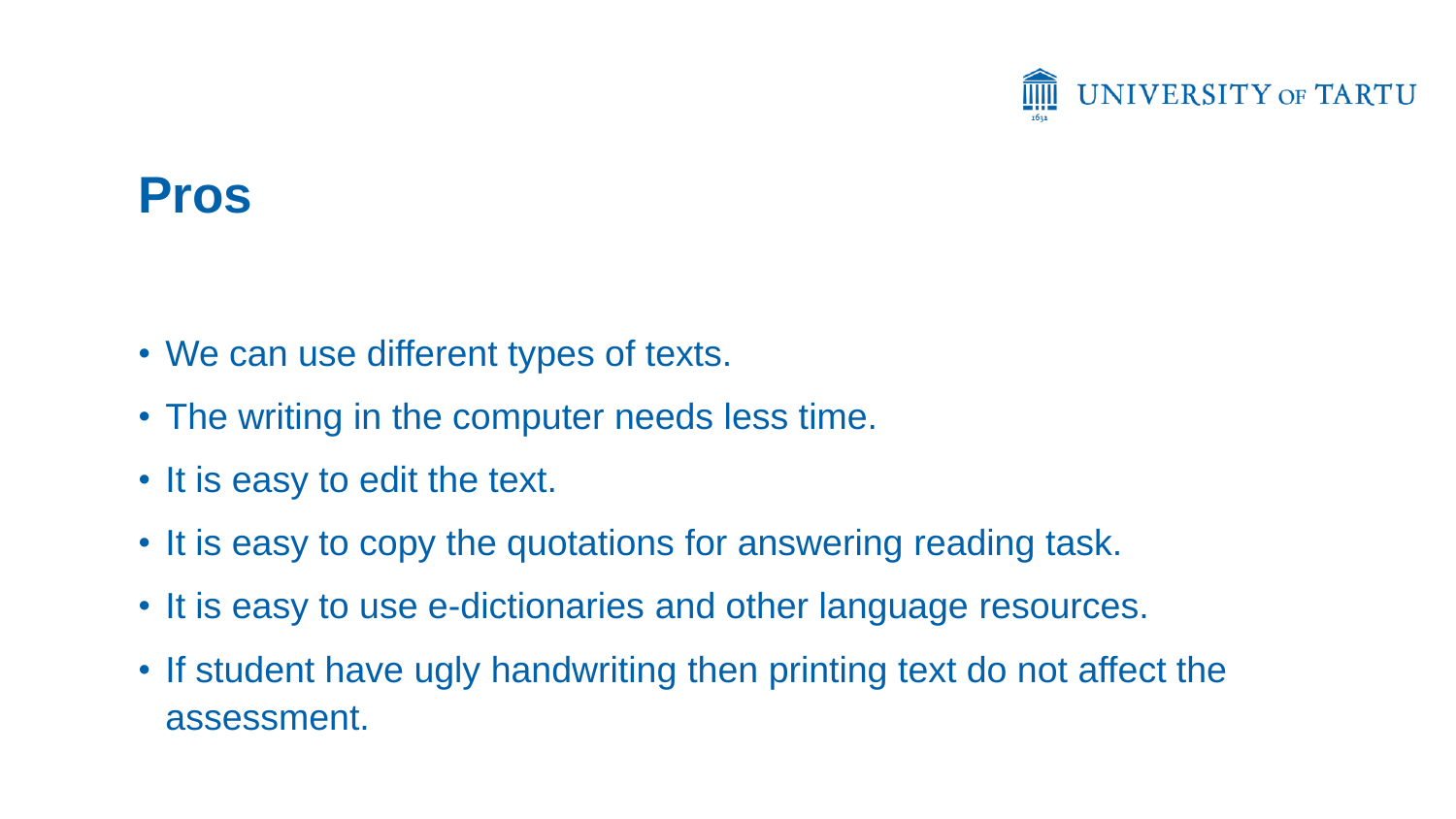

#### **Pros**

- We can use different types of texts.
- The writing in the computer needs less time.
- It is easy to edit the text.
- It is easy to copy the quotations for answering reading task.
- It is easy to use e-dictionaries and other language resources.
- If student have ugly handwriting then printing text do not affect the assessment.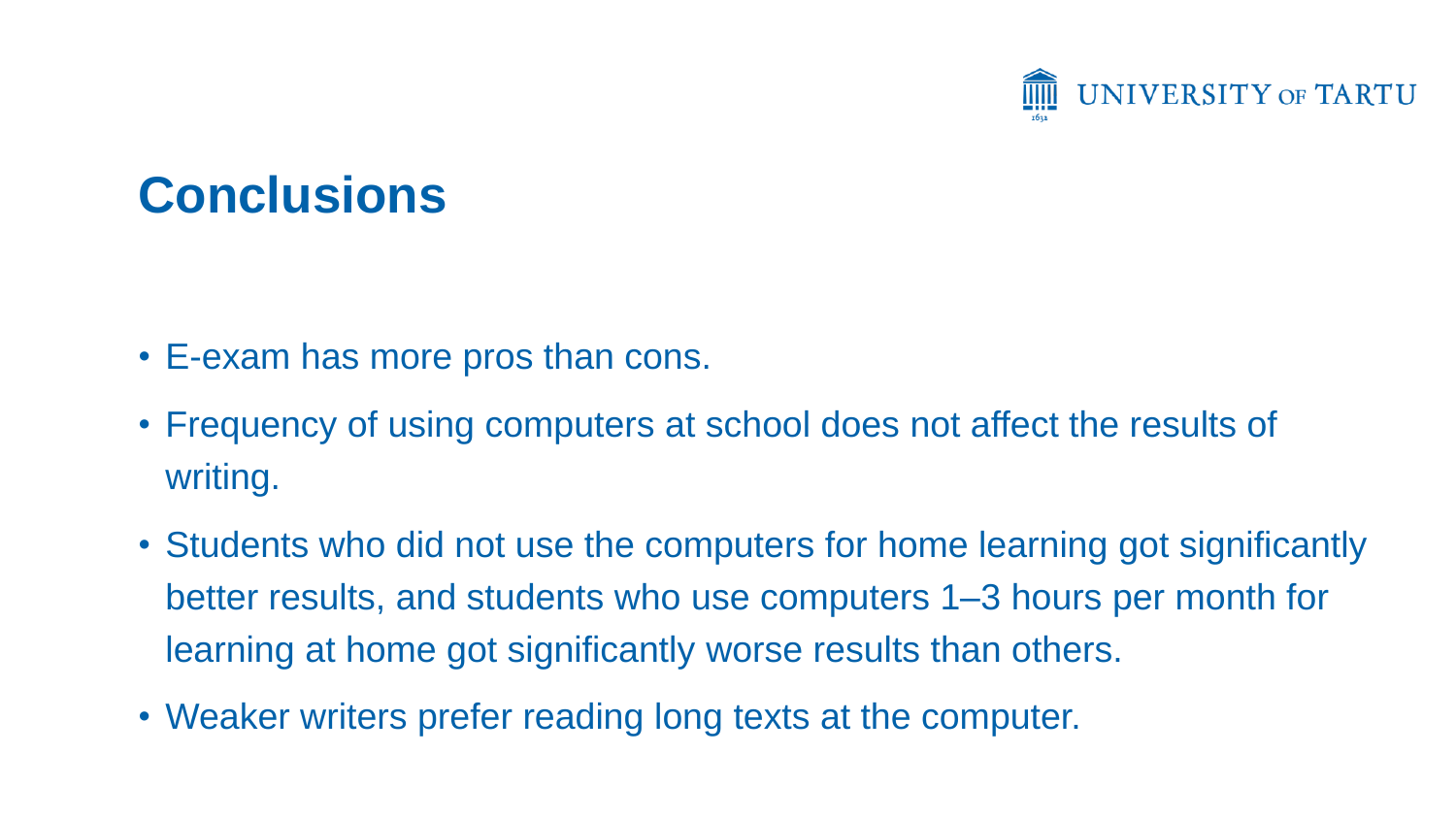

## **Conclusions**

- E-exam has more pros than cons.
- Frequency of using computers at school does not affect the results of writing.
- Students who did not use the computers for home learning got significantly better results, and students who use computers 1–3 hours per month for learning at home got significantly worse results than others.
- Weaker writers prefer reading long texts at the computer.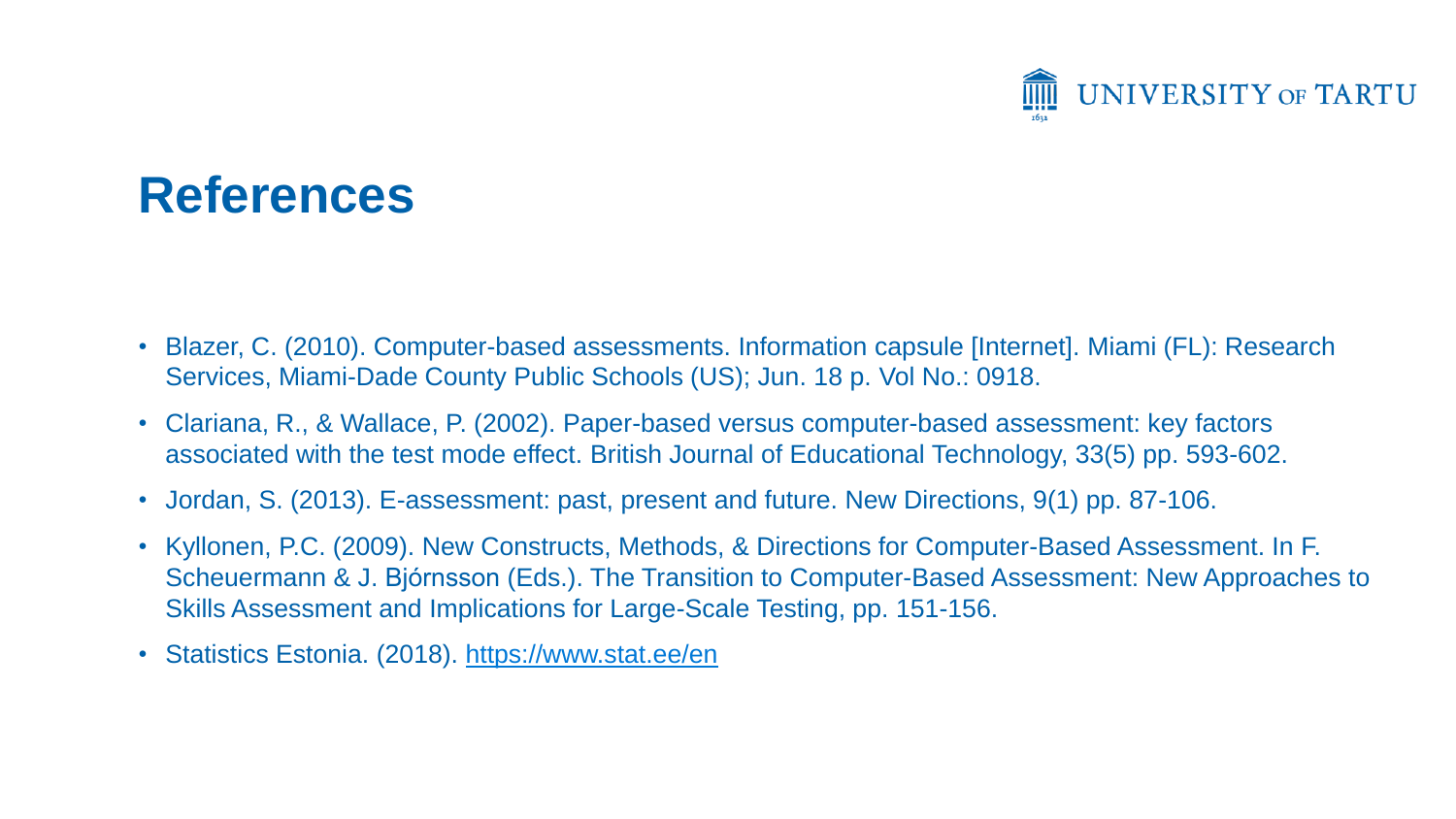

#### **References**

- Blazer, C. (2010). Computer-based assessments. Information capsule [Internet]. Miami (FL): Research Services, Miami-Dade County Public Schools (US); Jun. 18 p. Vol No.: 0918.
- Clariana, R., & Wallace, P. (2002). Paper-based versus computer-based assessment: key factors associated with the test mode effect. British Journal of Educational Technology, 33(5) pp. 593-602.
- Jordan, S. (2013). E-assessment: past, present and future. New Directions, 9(1) pp. 87-106.
- Kyllonen, P.C. (2009). New Constructs, Methods, & Directions for Computer-Based Assessment. In F. Scheuermann & J. Bjórnsson (Eds.). The Transition to Computer-Based Assessment: New Approaches to Skills Assessment and Implications for Large-Scale Testing, pp. 151-156.
- Statistics Estonia. (2018). <https://www.stat.ee/en>